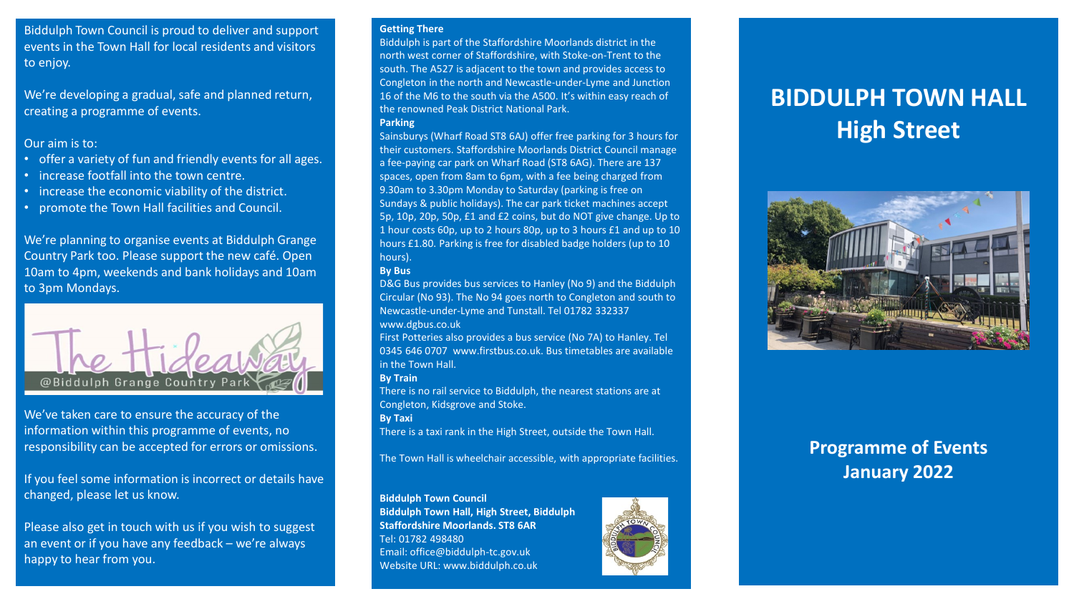Biddulph Town Council is proud to deliver and support events in the Town Hall for local residents and visitors to enjoy.

We're developing a gradual, safe and planned return, creating a programme of events.

### Our aim is to:

- offer a variety of fun and friendly events for all ages.
- increase footfall into the town centre.
- increase the economic viability of the district.
- promote the Town Hall facilities and Council.

We're planning to organise events at Biddulph Grange Country Park too. Please support the new café. Open 10am to 4pm, weekends and bank holidays and 10am to 3pm Mondays.



We've taken care to ensure the accuracy of the information within this programme of events, no responsibility can be accepted for errors or omissions.

If you feel some information is incorrect or details have changed, please let us know.

Please also get in touch with us if you wish to suggest an event or if you have any feedback – we're always happy to hear from you.

#### **Getting There**

Biddulph is part of the Staffordshire Moorlands district in the north west corner of Staffordshire, with Stoke-on-Trent to the south. The A527 is adjacent to the town and provides access to Congleton in the north and Newcastle-under-Lyme and Junction 16 of the M6 to the south via the A500. It's within easy reach of the renowned Peak District National Park. **Parking** 

Sainsburys (Wharf Road ST8 6AJ) offer free parking for 3 hours for their customers. Staffordshire Moorlands District Council manage a fee-paying car park on Wharf Road (ST8 6AG). There are 137 spaces, open from 8am to 6pm, with a fee being charged from 9.30am to 3.30pm Monday to Saturday (parking is free on Sundays & public holidays). The car park ticket machines accept 5p, 10p, 20p, 50p, £1 and £2 coins, but do NOT give change. Up to 1 hour costs 60p, up to 2 hours 80p, up to 3 hours £1 and up to 10 hours £1.80. Parking is free for disabled badge holders (up to 10 hours).

### **By Bus**

D&G Bus provides bus services to Hanley (No 9) and the Biddulph Circular (No 93). The No 94 goes north to Congleton and south to Newcastle-under-Lyme and Tunstall. Tel 01782 332337 www.dgbus.co.uk

First Potteries also provides a bus service (No 7A) to Hanley. Tel 0345 646 0707 www.firstbus.co.uk. Bus timetables are available in the Town Hall.

### **By Train**

There is no rail service to Biddulph, the nearest stations are at Congleton, Kidsgrove and Stoke.

**By Taxi** 

There is a taxi rank in the High Street, outside the Town Hall.

The Town Hall is wheelchair accessible, with appropriate facilities.

### **Biddulph Town Council**

**Biddulph Town Hall, High Street, Biddulph Staffordshire Moorlands. ST8 6AR**  Tel: 01782 498480 Email: office@biddulph-tc.gov.uk Website URL: www.biddulph.co.uk



# **BIDDULPH TOWN HALL High Street**



# **Programme of Events January 2022**